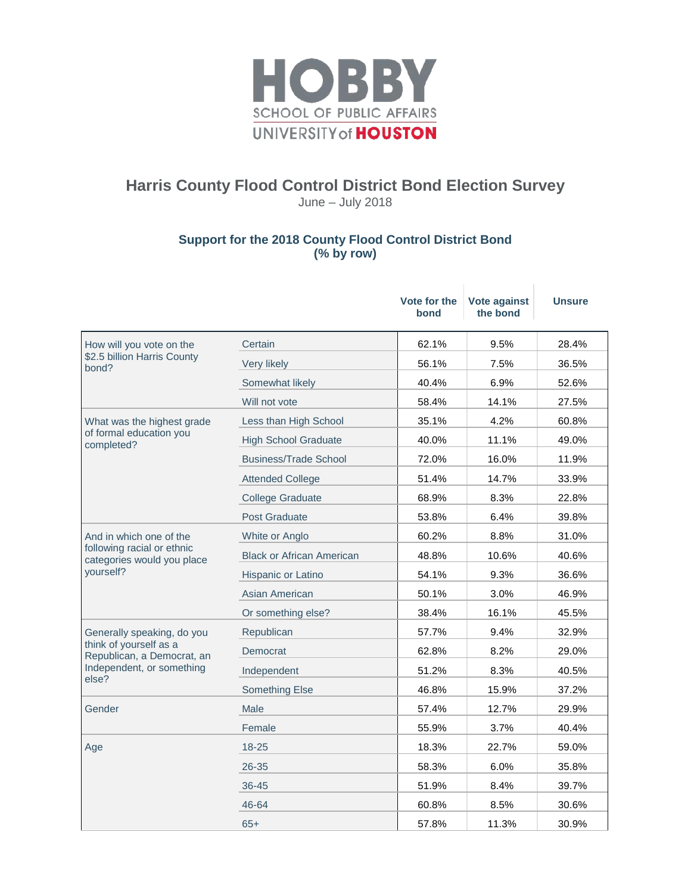

## **Harris County Flood Control District Bond Election Survey**

June – July 2018

## **Support for the 2018 County Flood Control District Bond (% by row)**

|                                                                                                                          |                                  | Vote for the<br>bond | Vote against<br>the bond | <b>Unsure</b> |
|--------------------------------------------------------------------------------------------------------------------------|----------------------------------|----------------------|--------------------------|---------------|
| How will you vote on the<br>\$2.5 billion Harris County<br>bond?                                                         | Certain                          | 62.1%                | 9.5%                     | 28.4%         |
|                                                                                                                          | Very likely                      | 56.1%                | 7.5%                     | 36.5%         |
|                                                                                                                          | Somewhat likely                  | 40.4%                | 6.9%                     | 52.6%         |
|                                                                                                                          | Will not vote                    | 58.4%                | 14.1%                    | 27.5%         |
| What was the highest grade<br>of formal education you<br>completed?                                                      | Less than High School            | 35.1%                | 4.2%                     | 60.8%         |
|                                                                                                                          | <b>High School Graduate</b>      | 40.0%                | 11.1%                    | 49.0%         |
|                                                                                                                          | <b>Business/Trade School</b>     | 72.0%                | 16.0%                    | 11.9%         |
|                                                                                                                          | <b>Attended College</b>          | 51.4%                | 14.7%                    | 33.9%         |
|                                                                                                                          | <b>College Graduate</b>          | 68.9%                | 8.3%                     | 22.8%         |
|                                                                                                                          | <b>Post Graduate</b>             | 53.8%                | 6.4%                     | 39.8%         |
| And in which one of the<br>following racial or ethnic<br>categories would you place<br>yourself?                         | White or Anglo                   | 60.2%                | 8.8%                     | 31.0%         |
|                                                                                                                          | <b>Black or African American</b> | 48.8%                | 10.6%                    | 40.6%         |
|                                                                                                                          | Hispanic or Latino               | 54.1%                | 9.3%                     | 36.6%         |
|                                                                                                                          | Asian American                   | 50.1%                | 3.0%                     | 46.9%         |
|                                                                                                                          | Or something else?               | 38.4%                | 16.1%                    | 45.5%         |
| Generally speaking, do you<br>think of yourself as a<br>Republican, a Democrat, an<br>Independent, or something<br>else? | Republican                       | 57.7%                | 9.4%                     | 32.9%         |
|                                                                                                                          | Democrat                         | 62.8%                | 8.2%                     | 29.0%         |
|                                                                                                                          | Independent                      | 51.2%                | 8.3%                     | 40.5%         |
|                                                                                                                          | <b>Something Else</b>            | 46.8%                | 15.9%                    | 37.2%         |
| Gender                                                                                                                   | Male                             | 57.4%                | 12.7%                    | 29.9%         |
|                                                                                                                          | Female                           | 55.9%                | 3.7%                     | 40.4%         |
| Age                                                                                                                      | $18 - 25$                        | 18.3%                | 22.7%                    | 59.0%         |
|                                                                                                                          | $26 - 35$                        | 58.3%                | 6.0%                     | 35.8%         |
|                                                                                                                          | 36-45                            | 51.9%                | 8.4%                     | 39.7%         |
|                                                                                                                          | 46-64                            | 60.8%                | 8.5%                     | 30.6%         |
|                                                                                                                          | $65+$                            | 57.8%                | 11.3%                    | 30.9%         |